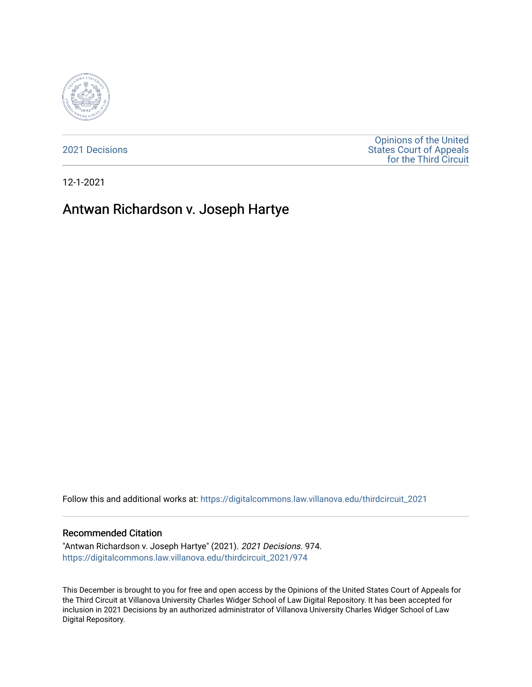

[2021 Decisions](https://digitalcommons.law.villanova.edu/thirdcircuit_2021)

[Opinions of the United](https://digitalcommons.law.villanova.edu/thirdcircuit)  [States Court of Appeals](https://digitalcommons.law.villanova.edu/thirdcircuit)  [for the Third Circuit](https://digitalcommons.law.villanova.edu/thirdcircuit) 

12-1-2021

# Antwan Richardson v. Joseph Hartye

Follow this and additional works at: [https://digitalcommons.law.villanova.edu/thirdcircuit\\_2021](https://digitalcommons.law.villanova.edu/thirdcircuit_2021?utm_source=digitalcommons.law.villanova.edu%2Fthirdcircuit_2021%2F974&utm_medium=PDF&utm_campaign=PDFCoverPages) 

#### Recommended Citation

"Antwan Richardson v. Joseph Hartye" (2021). 2021 Decisions. 974. [https://digitalcommons.law.villanova.edu/thirdcircuit\\_2021/974](https://digitalcommons.law.villanova.edu/thirdcircuit_2021/974?utm_source=digitalcommons.law.villanova.edu%2Fthirdcircuit_2021%2F974&utm_medium=PDF&utm_campaign=PDFCoverPages)

This December is brought to you for free and open access by the Opinions of the United States Court of Appeals for the Third Circuit at Villanova University Charles Widger School of Law Digital Repository. It has been accepted for inclusion in 2021 Decisions by an authorized administrator of Villanova University Charles Widger School of Law Digital Repository.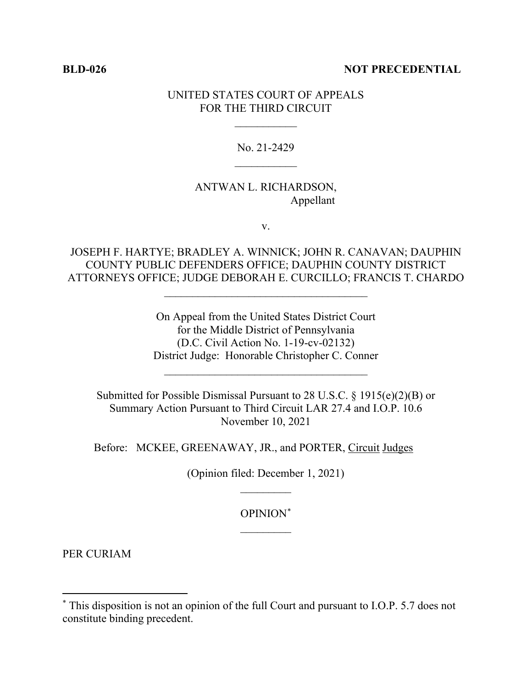#### **BLD-026 NOT PRECEDENTIAL**

### UNITED STATES COURT OF APPEALS FOR THE THIRD CIRCUIT

 $\frac{1}{2}$ 

# No. 21-2429  $\frac{1}{2}$

# ANTWAN L. RICHARDSON, Appellant

v.

# JOSEPH F. HARTYE; BRADLEY A. WINNICK; JOHN R. CANAVAN; DAUPHIN COUNTY PUBLIC DEFENDERS OFFICE; DAUPHIN COUNTY DISTRICT ATTORNEYS OFFICE; JUDGE DEBORAH E. CURCILLO; FRANCIS T. CHARDO

 $\mathcal{L}_\text{max}$  , where  $\mathcal{L}_\text{max}$  is the set of the set of the set of the set of the set of the set of the set of the set of the set of the set of the set of the set of the set of the set of the set of the set of the se

On Appeal from the United States District Court for the Middle District of Pennsylvania (D.C. Civil Action No. 1-19-cv-02132) District Judge: Honorable Christopher C. Conner

\_\_\_\_\_\_\_\_\_\_\_\_\_\_\_\_\_\_\_\_\_\_\_\_\_\_\_\_\_\_\_\_\_\_\_\_

Submitted for Possible Dismissal Pursuant to 28 U.S.C. § 1915(e)(2)(B) or Summary Action Pursuant to Third Circuit LAR 27.4 and I.O.P. 10.6 November 10, 2021

Before: MCKEE, GREENAWAY, JR., and PORTER, Circuit Judges

(Opinion filed: December 1, 2021)  $\frac{1}{2}$ 

> OPINION\*  $\frac{1}{2}$

PER CURIAM

<sup>\*</sup> This disposition is not an opinion of the full Court and pursuant to I.O.P. 5.7 does not constitute binding precedent.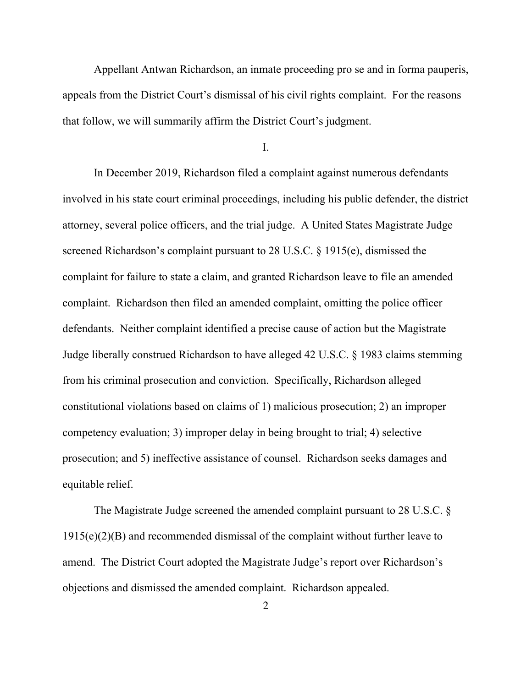Appellant Antwan Richardson, an inmate proceeding pro se and in forma pauperis, appeals from the District Court's dismissal of his civil rights complaint. For the reasons that follow, we will summarily affirm the District Court's judgment.

I.

In December 2019, Richardson filed a complaint against numerous defendants involved in his state court criminal proceedings, including his public defender, the district attorney, several police officers, and the trial judge. A United States Magistrate Judge screened Richardson's complaint pursuant to 28 U.S.C. § 1915(e), dismissed the complaint for failure to state a claim, and granted Richardson leave to file an amended complaint. Richardson then filed an amended complaint, omitting the police officer defendants. Neither complaint identified a precise cause of action but the Magistrate Judge liberally construed Richardson to have alleged 42 U.S.C. § 1983 claims stemming from his criminal prosecution and conviction. Specifically, Richardson alleged constitutional violations based on claims of 1) malicious prosecution; 2) an improper competency evaluation; 3) improper delay in being brought to trial; 4) selective prosecution; and 5) ineffective assistance of counsel. Richardson seeks damages and equitable relief.

The Magistrate Judge screened the amended complaint pursuant to 28 U.S.C. § 1915(e)(2)(B) and recommended dismissal of the complaint without further leave to amend. The District Court adopted the Magistrate Judge's report over Richardson's objections and dismissed the amended complaint. Richardson appealed.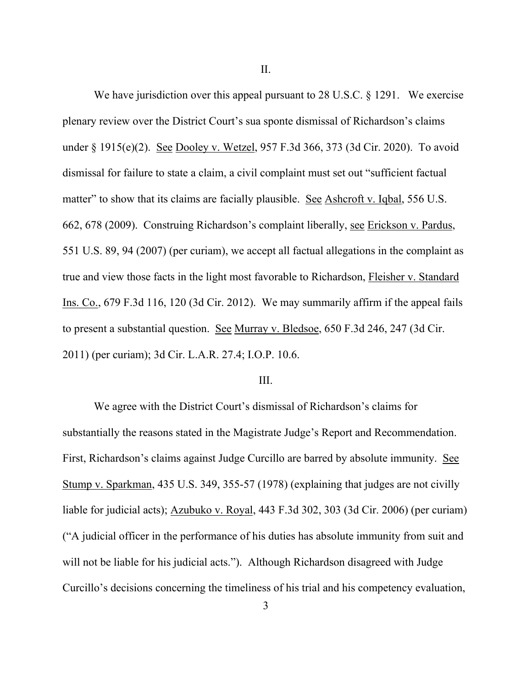II.

We have jurisdiction over this appeal pursuant to 28 U.S.C. § 1291. We exercise plenary review over the District Court's sua sponte dismissal of Richardson's claims under § 1915(e)(2). See Dooley v. Wetzel, 957 F.3d 366, 373 (3d Cir. 2020). To avoid dismissal for failure to state a claim, a civil complaint must set out "sufficient factual matter" to show that its claims are facially plausible. See Ashcroft v. Iqbal, 556 U.S. 662, 678 (2009). Construing Richardson's complaint liberally, see Erickson v. Pardus, 551 U.S. 89, 94 (2007) (per curiam), we accept all factual allegations in the complaint as true and view those facts in the light most favorable to Richardson, Fleisher v. Standard Ins. Co., 679 F.3d 116, 120 (3d Cir. 2012). We may summarily affirm if the appeal fails to present a substantial question. See Murray v. Bledsoe, 650 F.3d 246, 247 (3d Cir. 2011) (per curiam); 3d Cir. L.A.R. 27.4; I.O.P. 10.6.

#### III.

We agree with the District Court's dismissal of Richardson's claims for substantially the reasons stated in the Magistrate Judge's Report and Recommendation. First, Richardson's claims against Judge Curcillo are barred by absolute immunity. See Stump v. Sparkman, 435 U.S. 349, 355-57 (1978) (explaining that judges are not civilly liable for judicial acts); Azubuko v. Royal, 443 F.3d 302, 303 (3d Cir. 2006) (per curiam) ("A judicial officer in the performance of his duties has absolute immunity from suit and will not be liable for his judicial acts."). Although Richardson disagreed with Judge Curcillo's decisions concerning the timeliness of his trial and his competency evaluation,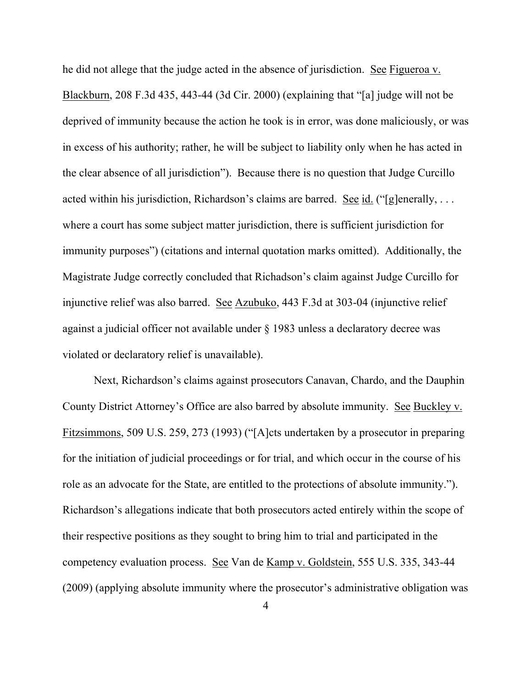he did not allege that the judge acted in the absence of jurisdiction. See Figueroa v. Blackburn, 208 F.3d 435, 443-44 (3d Cir. 2000) (explaining that "[a] judge will not be deprived of immunity because the action he took is in error, was done maliciously, or was in excess of his authority; rather, he will be subject to liability only when he has acted in the clear absence of all jurisdiction"). Because there is no question that Judge Curcillo acted within his jurisdiction, Richardson's claims are barred. See id. ("[g]enerally, ... where a court has some subject matter jurisdiction, there is sufficient jurisdiction for immunity purposes") (citations and internal quotation marks omitted). Additionally, the Magistrate Judge correctly concluded that Richadson's claim against Judge Curcillo for injunctive relief was also barred. See Azubuko, 443 F.3d at 303-04 (injunctive relief against a judicial officer not available under § 1983 unless a declaratory decree was violated or declaratory relief is unavailable).

Next, Richardson's claims against prosecutors Canavan, Chardo, and the Dauphin County District Attorney's Office are also barred by absolute immunity. See Buckley v. Fitzsimmons, 509 U.S. 259, 273 (1993) ("[A]cts undertaken by a prosecutor in preparing for the initiation of judicial proceedings or for trial, and which occur in the course of his role as an advocate for the State, are entitled to the protections of absolute immunity."). Richardson's allegations indicate that both prosecutors acted entirely within the scope of their respective positions as they sought to bring him to trial and participated in the competency evaluation process. See Van de Kamp v. Goldstein, 555 U.S. 335, 343-44 (2009) (applying absolute immunity where the prosecutor's administrative obligation was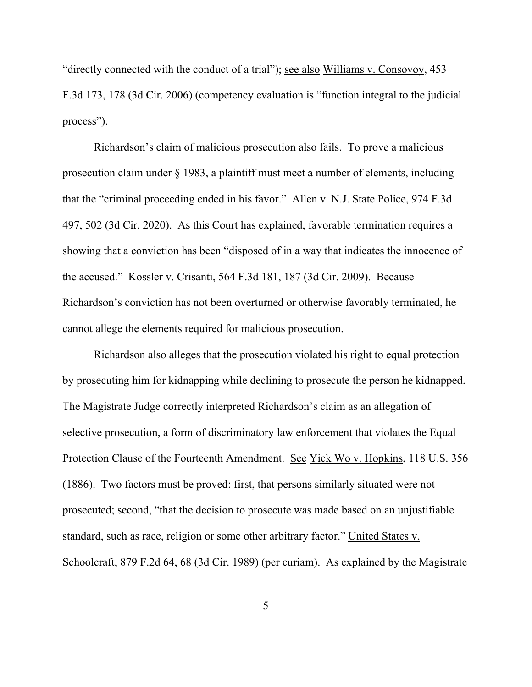"directly connected with the conduct of a trial"); see also Williams v. Consovoy, 453 F.3d 173, 178 (3d Cir. 2006) (competency evaluation is "function integral to the judicial process").

Richardson's claim of malicious prosecution also fails. To prove a malicious prosecution claim under § 1983, a plaintiff must meet a number of elements, including that the "criminal proceeding ended in his favor." Allen v. N.J. State Police, 974 F.3d 497, 502 (3d Cir. 2020). As this Court has explained, favorable termination requires a showing that a conviction has been "disposed of in a way that indicates the innocence of the accused." Kossler v. Crisanti, 564 F.3d 181, 187 (3d Cir. 2009). Because Richardson's conviction has not been overturned or otherwise favorably terminated, he cannot allege the elements required for malicious prosecution.

Richardson also alleges that the prosecution violated his right to equal protection by prosecuting him for kidnapping while declining to prosecute the person he kidnapped. The Magistrate Judge correctly interpreted Richardson's claim as an allegation of selective prosecution, a form of discriminatory law enforcement that violates the Equal Protection Clause of the Fourteenth Amendment. See Yick Wo v. Hopkins, 118 U.S. 356 (1886). Two factors must be proved: first, that persons similarly situated were not prosecuted; second, "that the decision to prosecute was made based on an unjustifiable standard, such as race, religion or some other arbitrary factor." United States v. Schoolcraft, 879 F.2d 64, 68 (3d Cir. 1989) (per curiam). As explained by the Magistrate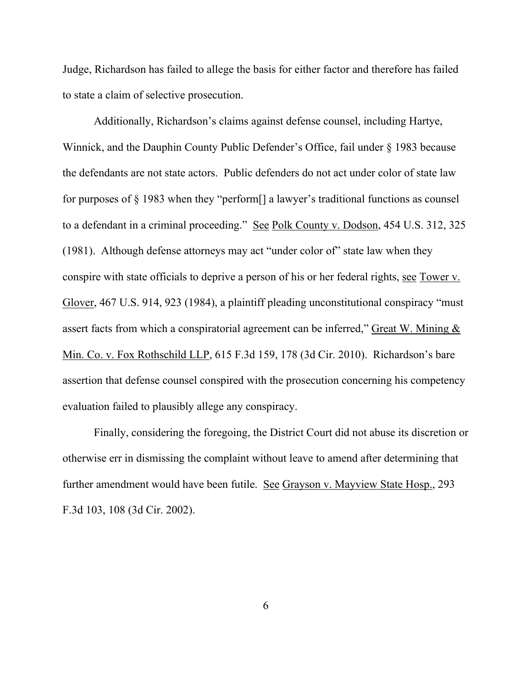Judge, Richardson has failed to allege the basis for either factor and therefore has failed to state a claim of selective prosecution.

Additionally, Richardson's claims against defense counsel, including Hartye, Winnick, and the Dauphin County Public Defender's Office, fail under § 1983 because the defendants are not state actors. Public defenders do not act under color of state law for purposes of § 1983 when they "perform[] a lawyer's traditional functions as counsel to a defendant in a criminal proceeding." See Polk County v. Dodson, 454 U.S. 312, 325 (1981). Although defense attorneys may act "under color of" state law when they conspire with state officials to deprive a person of his or her federal rights, see Tower v. Glover, 467 U.S. 914, 923 (1984), a plaintiff pleading unconstitutional conspiracy "must assert facts from which a conspiratorial agreement can be inferred," Great W. Mining  $&$ Min. Co. v. Fox Rothschild LLP, 615 F.3d 159, 178 (3d Cir. 2010). Richardson's bare assertion that defense counsel conspired with the prosecution concerning his competency evaluation failed to plausibly allege any conspiracy.

Finally, considering the foregoing, the District Court did not abuse its discretion or otherwise err in dismissing the complaint without leave to amend after determining that further amendment would have been futile. See Grayson v. Mayview State Hosp., 293 F.3d 103, 108 (3d Cir. 2002).

6